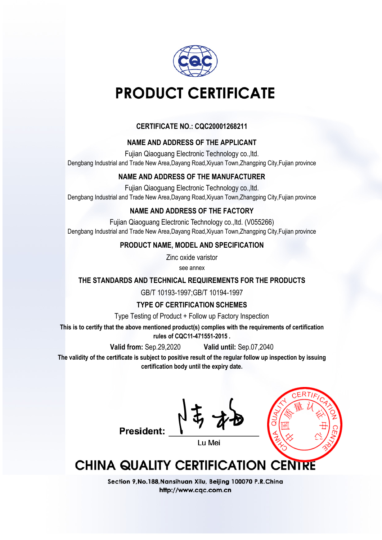

## **CERTIFICATE NO.: CQC20001268211**

### **NAME AND ADDRESS OF THE APPLICANT**

Fujian Qiaoguang Electronic Technology co.,ltd. Dengbang Industrial and Trade New Area,Dayang Road,Xiyuan Town,Zhangping City,Fujian province

### **NAME AND ADDRESS OF THE MANUFACTURER**

Fujian Qiaoguang Electronic Technology co.,ltd. Dengbang Industrial and Trade New Area,Dayang Road,Xiyuan Town,Zhangping City,Fujian province

## **NAME AND ADDRESS OF THE FACTORY**

Fujian Qiaoguang Electronic Technology co.,ltd. (V055266) Dengbang Industrial and Trade New Area,Dayang Road,Xiyuan Town,Zhangping City,Fujian province

### **PRODUCT NAME, MODEL AND SPECIFICATION**

Zinc oxide varistor

see annex

### **THE STANDARDS AND TECHNICAL REQUIREMENTS FOR THE PRODUCTS**

GB/T 10193-1997;GB/T 10194-1997

### **TYPE OF CERTIFICATION SCHEMES**

Type Testing of Product + Follow up Factory Inspection

**This is to certify that the above mentioned product(s) complies with the requirements of certification rules of CQC11-471551-2015 .**

**Valid from:** Sep.29,2020 **Valid until:** Sep.07,2040

**The validity of the certificate is subject to positive result of the regular follow up inspection by issuing certification body until the expiry date.**



## **President:**

**CHINA QUALITY CERTIFICATION CENTRE**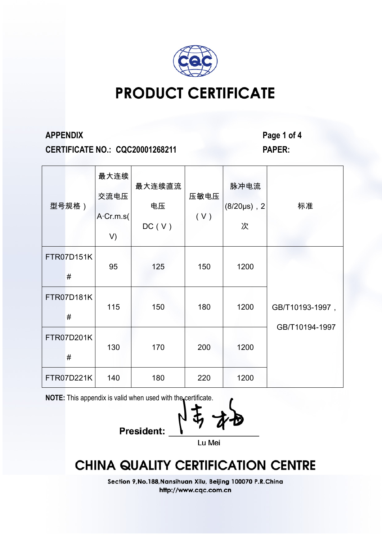

**CERTIFICATE NO.: CQC20001268211 PAPER:**

**APPENDIX Page 1 of 4**

| 型号规格)           | 最大连续<br>交流电压<br>A Cr.m.s(<br>V) | 最大连续直流<br>电压<br>DC(V) | 压敏电压<br>(V) | 脉冲电流<br>$(8/20 \mu s)$ , 2<br>次 | 标准                                |
|-----------------|---------------------------------|-----------------------|-------------|---------------------------------|-----------------------------------|
| FTR07D151K<br># | 95                              | 125                   | 150         | 1200                            |                                   |
| FTR07D181K<br># | 115                             | 150                   | 180         | 1200                            | GB/T10193-1997,<br>GB/T10194-1997 |
| FTR07D201K<br># | 130                             | 170                   | 200         | 1200                            |                                   |
| FTR07D221K      | 140                             | 180                   | 220         | 1200                            |                                   |

**NOTE:** This appendix is valid when used with the certificate.

**President:** Lu Mei

## **CHINA QUALITY CERTIFICATION CENTRE**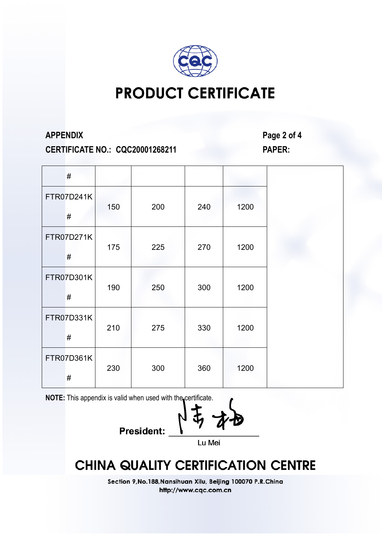

**CERTIFICATE NO.: CQC20001268211 PAPER:**

**APPENDIX Page 2 of 4**

| $\#$               |     |     |     |      |
|--------------------|-----|-----|-----|------|
| FTR07D241K<br>$\#$ | 150 | 200 | 240 | 1200 |
| FTR07D271K<br>$\#$ | 175 | 225 | 270 | 1200 |
| FTR07D301K<br>$\#$ | 190 | 250 | 300 | 1200 |
| FTR07D331K<br>$\#$ | 210 | 275 | 330 | 1200 |
| FTR07D361K<br>#    | 230 | 300 | 360 | 1200 |

**NOTE:** This appendix is valid when used with the certificate.

**President:** Lu Mei

## **CHINA QUALITY CERTIFICATION CENTRE**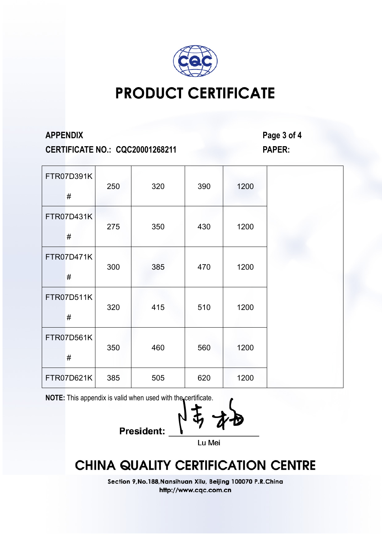

**CERTIFICATE NO.: CQC20001268211 PAPER:**

**APPENDIX Page 3 of 4**

| FTR07D391K<br>#        | 250 | 320 | 390 | 1200 |  |
|------------------------|-----|-----|-----|------|--|
| FTR07D431K<br>#        | 275 | 350 | 430 | 1200 |  |
| <b>FTR07D471K</b><br># | 300 | 385 | 470 | 1200 |  |
| <b>FTR07D511K</b><br># | 320 | 415 | 510 | 1200 |  |
| FTR07D561K<br>#        | 350 | 460 | 560 | 1200 |  |
| FTR07D621K             | 385 | 505 | 620 | 1200 |  |

**NOTE:** This appendix is valid when used with the certificate.

President: Lu Mei

## **CHINA QUALITY CERTIFICATION CENTRE**